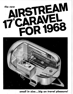

small in size...big on travel pleasure!